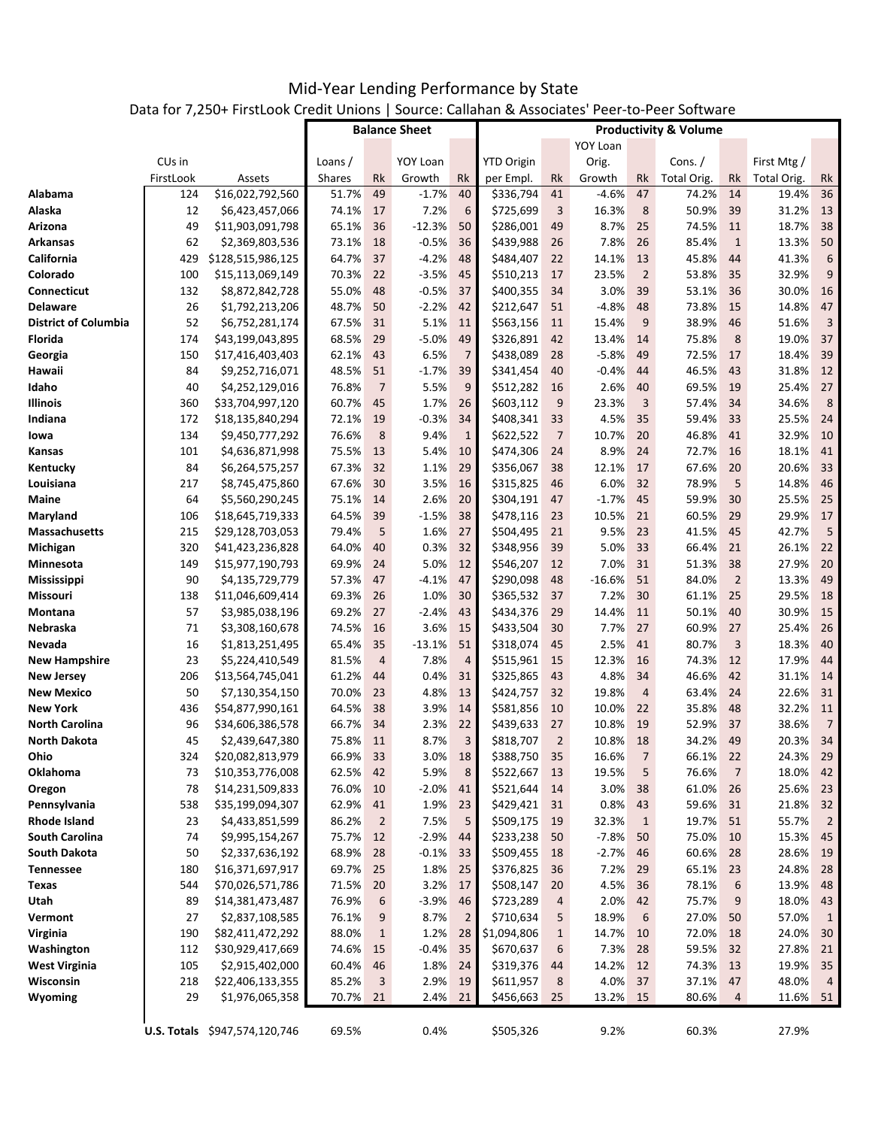|                             |                    |                                    |                      | 101 7,230 T LIBROOK CHECK OTHOLS   300HCC. Caliatian & Associates Teel-to-Feel 301twale |                 |                                  |                        |                |               |                |                |                |                |                |
|-----------------------------|--------------------|------------------------------------|----------------------|-----------------------------------------------------------------------------------------|-----------------|----------------------------------|------------------------|----------------|---------------|----------------|----------------|----------------|----------------|----------------|
|                             |                    |                                    | <b>Balance Sheet</b> |                                                                                         |                 | <b>Productivity &amp; Volume</b> |                        |                |               |                |                |                |                |                |
|                             |                    |                                    |                      |                                                                                         |                 |                                  | <b>YOY Loan</b>        |                |               |                |                |                |                |                |
|                             | CU <sub>s</sub> in |                                    | Loans /              |                                                                                         | <b>YOY Loan</b> |                                  | <b>YTD Origin</b>      |                | Orig.         |                | Cons. $/$      |                | First Mtg /    |                |
|                             | FirstLook          | Assets                             | <b>Shares</b>        | Rk                                                                                      | Growth          | Rk                               | per Empl.              | Rk             | Growth        | Rk             | Total Orig.    | Rk             | Total Orig.    | Rk             |
| Alabama<br>Alaska           | 124                | \$16,022,792,560                   | 51.7%                | 49                                                                                      | $-1.7%$         | 40                               | \$336,794              | 41             | $-4.6%$       | 47             | 74.2%          | 14             | 19.4%          | 36             |
|                             | 12                 | \$6,423,457,066                    | 74.1%                | 17                                                                                      | 7.2%            | 6                                | \$725,699              | 3              | 16.3%         | 8              | 50.9%          | 39             | 31.2%          | 13             |
| Arizona                     | 49                 | \$11,903,091,798                   | 65.1%                | 36                                                                                      | $-12.3%$        | 50                               | \$286,001              | 49             | 8.7%          | 25             | 74.5%          | 11             | 18.7%          | 38             |
| <b>Arkansas</b>             | 62                 | \$2,369,803,536                    | 73.1%                | 18                                                                                      | $-0.5%$         | 36                               | \$439,988              | 26             | 7.8%          | 26             | 85.4%          | $\mathbf{1}$   | 13.3%          | 50             |
| California                  | 429                | \$128,515,986,125                  | 64.7%                | 37                                                                                      | $-4.2%$         | 48<br>45                         | \$484,407              | 22             | 14.1%         | 13             | 45.8%          | 44             | 41.3%          | 6              |
| Colorado                    | 100                | \$15,113,069,149                   | 70.3%                | 22                                                                                      | $-3.5%$         |                                  | \$510,213              | 17             | 23.5%         | $\overline{2}$ | 53.8%          | 35             | 32.9%          | 9              |
| <b>Connecticut</b>          | 132                | \$8,872,842,728                    | 55.0%                | 48                                                                                      | $-0.5%$         | 37                               | \$400,355              | 34             | 3.0%          | 39             | 53.1%          | 36             | 30.0%          | 16             |
| <b>Delaware</b>             | 26                 | \$1,792,213,206                    | 48.7%                | 50                                                                                      | $-2.2%$         | 42                               | \$212,647              | 51             | $-4.8%$       | 48             | 73.8%          | 15             | 14.8%          | 47             |
| <b>District of Columbia</b> | 52                 | \$6,752,281,174                    | 67.5%                | 31                                                                                      | 5.1%            | 11<br>49                         | \$563,156              | 11             | 15.4%         | 9              | 38.9%          | 46             | 51.6%<br>19.0% | $\overline{3}$ |
| Florida                     | 174                | \$43,199,043,895                   | 68.5%                | 29                                                                                      | $-5.0%$         |                                  | \$326,891              | 42             | 13.4%         | 14             | 75.8%          | 8              |                | 37             |
| Georgia                     | 150                | \$17,416,403,403                   | 62.1%                | 43                                                                                      | 6.5%            | $\overline{7}$                   | \$438,089              | 28             | $-5.8%$       | 49             | 72.5%          | 17             | 18.4%          | 39             |
| Hawaii                      | 84                 | \$9,252,716,071                    | 48.5%                | 51                                                                                      | $-1.7%$         | 39                               | \$341,454              | 40             | $-0.4%$       | 44             | 46.5%          | 43             | 31.8%          | 12             |
| Idaho                       | 40                 | \$4,252,129,016                    | 76.8%                | $\overline{7}$                                                                          | 5.5%            | 9                                | \$512,282              | 16             | 2.6%          | 40             | 69.5%          | 19             | 25.4%          | 27             |
| Illinois                    | 360                | \$33,704,997,120                   | 60.7%                | 45                                                                                      | 1.7%            | 26                               | \$603,112              | 9              | 23.3%         | 3              | 57.4%          | 34             | 34.6%          | 8              |
| Indiana                     | 172                | \$18,135,840,294                   | 72.1%                | 19                                                                                      | $-0.3%$         | 34                               | \$408,341              | 33             | 4.5%          | 35             | 59.4%          | 33             | 25.5%          | 24             |
| lowa                        | 134                | \$9,450,777,292                    | 76.6%                | 8                                                                                       | 9.4%            | $\mathbf{1}$                     | \$622,522              | $\overline{7}$ | 10.7%         | 20             | 46.8%          | 41             | 32.9%          | 10             |
| Kansas                      | 101                | \$4,636,871,998                    | 75.5%                | 13                                                                                      | 5.4%            | 10                               | \$474,306              | 24             | 8.9%          | 24             | 72.7%          | 16             | 18.1%          | 41             |
| Kentucky                    | 84                 | \$6,264,575,257                    | 67.3%                | 32                                                                                      | 1.1%            | 29                               | \$356,067              | 38             | 12.1%         | 17             | 67.6%          | 20             | 20.6%          | 33             |
| Louisiana                   | 217                | \$8,745,475,860                    | 67.6%                | 30                                                                                      | 3.5%            | 16                               | \$315,825              | 46             | 6.0%          | 32             | 78.9%          | 5              | 14.8%          | 46             |
| Maine                       | 64                 | \$5,560,290,245                    | 75.1%                | 14                                                                                      | 2.6%            | 20                               | \$304,191              | 47             | $-1.7%$       | 45             | 59.9%          | 30             | 25.5%          | 25             |
| Maryland                    | 106                | \$18,645,719,333                   | 64.5%                | 39                                                                                      | $-1.5%$         | 38<br>27                         | \$478,116              | 23             | 10.5%         | 21<br>23       | 60.5%          | 29             | 29.9%          | 17             |
| Massachusetts               | 215                | \$29,128,703,053                   | 79.4%                | 5                                                                                       | 1.6%            | 32                               | \$504,495              | 21             | 9.5%          |                | 41.5%          | 45             | 42.7%          | 5              |
| Michigan                    | 320                | \$41,423,236,828                   | 64.0%                | 40                                                                                      | 0.3%            |                                  | \$348,956              | 39             | 5.0%          | 33             | 66.4%          | 21<br>38       | 26.1%          | 22             |
| Minnesota                   | 149                | \$15,977,190,793                   | 69.9%                | 24                                                                                      | 5.0%            | 12                               | \$546,207              | 12             | 7.0%          | 31             | 51.3%          |                | 27.9%          | 20             |
| <b>Mississippi</b>          | 90                 | \$4,135,729,779                    | 57.3%                | 47                                                                                      | $-4.1%$         | 47                               | \$290,098              | 48             | $-16.6%$      | 51             | 84.0%          | $\overline{2}$ | 13.3%          | 49             |
| Missouri                    | 138                | \$11,046,609,414                   | 69.3%<br>69.2%       | 26                                                                                      | 1.0%            | 30                               | \$365,532              | 37             | 7.2%          | 30             | 61.1%          | 25             | 29.5%<br>30.9% | 18             |
| Montana<br>Nebraska         | 57<br>71           | \$3,985,038,196                    | 74.5%                | 27                                                                                      | $-2.4%$<br>3.6% | 43<br>15                         | \$434,376<br>\$433,504 | 29             | 14.4%<br>7.7% | 11<br>27       | 50.1%<br>60.9% | 40             | 25.4%          | 15<br>26       |
| Nevada                      | 16                 | \$3,308,160,678                    | 65.4%                | 16<br>35                                                                                | $-13.1%$        | 51                               | \$318,074              | 30<br>45       | 2.5%          | 41             | 80.7%          | 27<br>3        | 18.3%          | 40             |
| <b>New Hampshire</b>        | 23                 | \$1,813,251,495<br>\$5,224,410,549 | 81.5%                | $\overline{4}$                                                                          | 7.8%            | $\overline{4}$                   | \$515,961              | 15             | 12.3%         | 16             | 74.3%          | 12             | 17.9%          | 44             |
| <b>New Jersey</b>           | 206                | \$13,564,745,041                   | 61.2%                | 44                                                                                      | 0.4%            | 31                               | \$325,865              | 43             | 4.8%          | 34             | 46.6%          | 42             | 31.1%          | 14             |
| <b>New Mexico</b>           | 50                 | \$7,130,354,150                    | 70.0%                | 23                                                                                      | 4.8%            | 13                               | \$424,757              | 32             | 19.8%         | $\overline{a}$ | 63.4%          | 24             | 22.6%          | 31             |
| <b>New York</b>             | 436                | \$54,877,990,161                   | 64.5%                | 38                                                                                      | 3.9%            | 14                               | \$581,856              | 10             | 10.0%         | 22             | 35.8%          | 48             | 32.2%          | 11             |
| <b>North Carolina</b>       | 96                 | \$34,606,386,578                   | 66.7%                | 34                                                                                      | 2.3%            | 22                               | \$439,633              | 27             | 10.8%         | 19             | 52.9%          | 37             | 38.6%          | $\overline{7}$ |
| <b>North Dakota</b>         | 45                 | \$2,439,647,380                    | 75.8%                | 11                                                                                      | 8.7%            | 3                                | \$818,707              | $\overline{2}$ | 10.8%         | 18             | 34.2%          | 49             | 20.3%          | 34             |
| Ohio                        | 324                | \$20,082,813,979                   | 66.9%                | 33                                                                                      | 3.0%            | 18                               | \$388,750              | 35             | 16.6%         | 7              | 66.1%          | 22             | 24.3%          | 29             |
| Oklahoma                    | 73                 | \$10,353,776,008                   | 62.5%                | 42                                                                                      | 5.9%            | 8                                | \$522,667              | 13             | 19.5%         | 5              | 76.6%          | $\overline{7}$ | 18.0%          | 42             |
| Oregon                      | 78                 | \$14,231,509,833                   | 76.0%                | 10                                                                                      | $-2.0%$         | 41                               | \$521,644              | 14             | 3.0%          | 38             | 61.0%          | 26             | 25.6%          | 23             |
| Pennsylvania                | 538                | \$35,199,094,307                   | 62.9%                | 41                                                                                      | 1.9%            | 23                               | \$429,421              | 31             | 0.8%          | 43             | 59.6%          | 31             | 21.8%          | 32             |
| <b>Rhode Island</b>         | 23                 | \$4,433,851,599                    | 86.2%                | $\overline{2}$                                                                          | 7.5%            | 5                                | \$509,175              | 19             | 32.3%         | $\mathbf{1}$   | 19.7%          | 51             | 55.7%          | $\overline{2}$ |
| <b>South Carolina</b>       | 74                 | \$9,995,154,267                    | 75.7%                | 12                                                                                      | $-2.9%$         | 44                               | \$233,238              | 50             | $-7.8%$       | 50             | 75.0%          | 10             | 15.3%          | 45             |
| <b>South Dakota</b>         | 50                 | \$2,337,636,192                    | 68.9%                | 28                                                                                      | $-0.1%$         | 33                               | \$509,455              | 18             | $-2.7%$       | 46             | 60.6%          | 28             | 28.6%          | 19             |
| <b>Tennessee</b>            | 180                | \$16,371,697,917                   | 69.7%                | 25                                                                                      | 1.8%            | 25                               | \$376,825              | 36             | 7.2%          | 29             | 65.1%          | 23             | 24.8%          | 28             |
| <b>Texas</b>                | 544                | \$70,026,571,786                   | 71.5%                | 20                                                                                      | 3.2%            | 17                               | \$508,147              | 20             | 4.5%          | 36             | 78.1%          | 6              | 13.9%          | 48             |
| Utah                        | 89                 | \$14,381,473,487                   | 76.9%                | 6                                                                                       | $-3.9%$         | 46                               | \$723,289              | 4              | 2.0%          | 42             | 75.7%          | 9              | 18.0%          | 43             |
| Vermont                     | 27                 | \$2,837,108,585                    | 76.1%                | 9                                                                                       | 8.7%            | $\overline{2}$                   | \$710,634              | 5              | 18.9%         | 6              | 27.0%          | 50             | 57.0%          | $\mathbf{1}$   |
| Virginia                    | 190                | \$82,411,472,292                   | 88.0%                | $\mathbf{1}$                                                                            | 1.2%            | 28                               | \$1,094,806            | $\mathbf{1}$   | 14.7%         | 10             | 72.0%          | 18             | 24.0%          | 30             |
| Washington                  | 112                | \$30,929,417,669                   | 74.6%                | 15                                                                                      | $-0.4%$         | 35                               | \$670,637              | 6              | 7.3%          | 28             | 59.5%          | 32             | 27.8%          | 21             |
| <b>West Virginia</b>        | 105                | \$2,915,402,000                    | 60.4%                | 46                                                                                      | 1.8%            | 24                               | \$319,376              | 44             | 14.2%         | 12             | 74.3%          | 13             | 19.9%          | 35             |
| Wisconsin                   | 218                | \$22,406,133,355                   | 85.2%                | 3                                                                                       | 2.9%            | 19                               | \$611,957              | 8              | 4.0%          | 37             | 37.1%          | 47             | 48.0%          | $\overline{a}$ |
| Wyoming                     | 29                 | \$1,976,065,358                    | 70.7%                | 21                                                                                      | 2.4%            | 21                               | \$456,663              | 25             | 13.2%         | - 15           | 80.6%          | $\overline{a}$ | 11.6% 51       |                |
|                             |                    |                                    |                      |                                                                                         |                 |                                  |                        |                |               |                |                |                |                |                |
|                             |                    | U.S. Totals \$947,574,120,746      | 69.5%                |                                                                                         | 0.4%            |                                  | \$505,326              |                | 9.2%          |                | 60.3%          |                | 27.9%          |                |

## Mid‐Year Lending Performance by State Data for 7,250+ FirstLook Credit Unions | Source: Callahan & Associates' Peer‐to‐Peer Software